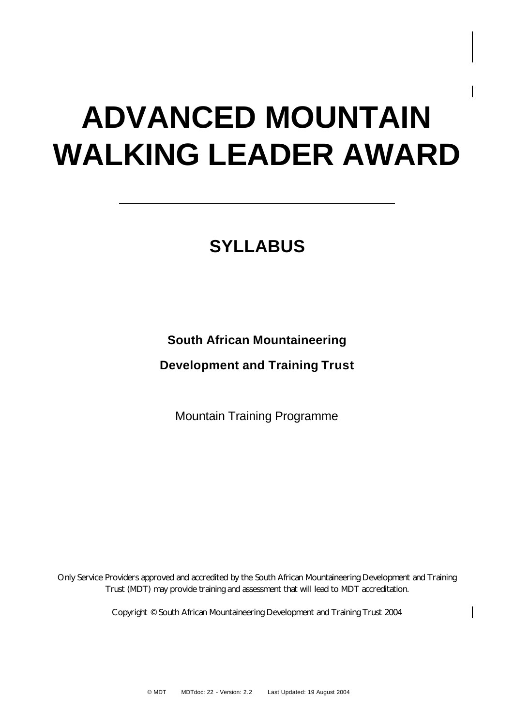# **ADVANCED MOUNTAIN WALKING LEADER AWARD**

# **SYLLABUS**

## **South African Mountaineering**

**Development and Training Trust**

Mountain Training Programme

Only Service Providers approved and accredited by the South African Mountaineering Development and Training Trust (MDT) may provide training and assessment that will lead to MDT accreditation.

Copyright © South African Mountaineering Development and Training Trust 2004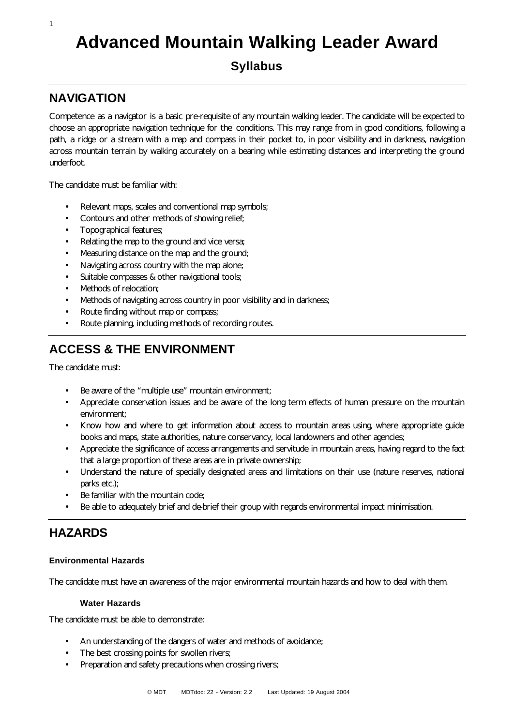# **Advanced Mountain Walking Leader Award**

## **Syllabus**

## **NAVIGATION**

1

Competence as a navigator is a basic pre-requisite of any mountain walking leader. The candidate will be expected to choose an appropriate navigation technique for the conditions. This may range from in good conditions, following a path, a ridge or a stream with a map and compass in their pocket to, in poor visibility and in darkness, navigation across mountain terrain by walking accurately on a bearing while estimating distances and interpreting the ground underfoot.

The candidate must be familiar with:

- Relevant maps, scales and conventional map symbols;
- Contours and other methods of showing relief;
- Topographical features;
- Relating the map to the ground and vice versa;
- Measuring distance on the map and the ground;
- Navigating across country with the map alone;
- Suitable compasses & other navigational tools;
- Methods of relocation;
- Methods of navigating across country in poor visibility and in darkness;
- Route finding without map or compass;
- Route planning, including methods of recording routes.

## **ACCESS & THE ENVIRONMENT**

The candidate must:

- Be aware of the "multiple use" mountain environment;
- Appreciate conservation issues and be aware of the long term effects of human pressure on the mountain environment;
- Know how and where to get information about access to mountain areas using, where appropriate guide books and maps, state authorities, nature conservancy, local landowners and other agencies;
- Appreciate the significance of access arrangements and servitude in mountain areas, having regard to the fact that a large proportion of these areas are in private ownership;
- Understand the nature of specially designated areas and limitations on their use (nature reserves, national parks etc.);
- Be familiar with the mountain code;
- Be able to adequately brief and de-brief their group with regards environmental impact minimisation.

## **HAZARDS**

## **Environmental Hazards**

The candidate must have an awareness of the major environmental mountain hazards and how to deal with them.

## **Water Hazards**

The candidate must be able to demonstrate:

- An understanding of the dangers of water and methods of avoidance;
- The best crossing points for swollen rivers;
- Preparation and safety precautions when crossing rivers;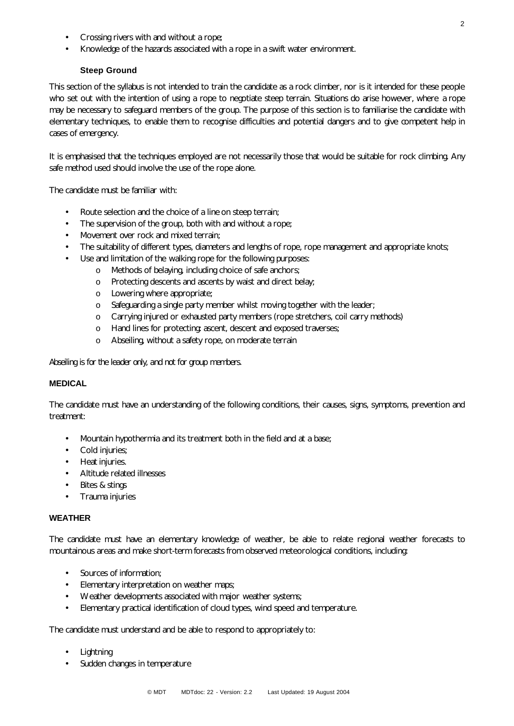• Knowledge of the hazards associated with a rope in a swift water environment.

## **Steep Ground**

This section of the syllabus is not intended to train the candidate as a rock climber, nor is it intended for these people who set out with the intention of using a rope to negotiate steep terrain. Situations do arise however, where a rope may be necessary to safeguard members of the group. The purpose of this section is to familiarise the candidate with elementary techniques, to enable them to recognise difficulties and potential dangers and to give competent help in cases of emergency.

It is emphasised that the techniques employed are not necessarily those that would be suitable for rock climbing. Any safe method used should involve the use of the rope alone.

The candidate must be familiar with:

- Route selection and the choice of a line on steep terrain;
- The supervision of the group, both with and without a rope;
- Movement over rock and mixed terrain;
- The suitability of different types, diameters and lengths of rope, rope management and appropriate knots;
- Use and limitation of the walking rope for the following purposes:
	- o Methods of belaying, including choice of safe anchors;
	- o Protecting descents and ascents by waist and direct belay;
	- o Lowering where appropriate;
	- o Safeguarding a single party member whilst moving together with the leader;
	- o Carrying injured or exhausted party members (rope stretchers, coil carry methods)
	- o Hand lines for protecting: ascent, descent and exposed traverses;
	- o Abseiling, without a safety rope, on moderate terrain

*Abseiling is for the leader only, and not for group members.*

## **MEDICAL**

The candidate must have an understanding of the following conditions, their causes, signs, symptoms, prevention and treatment:

- Mountain hypothermia and its treatment both in the field and at a base;
- Cold injuries;
- Heat injuries.
- Altitude related illnesses
- Bites & stings
- Trauma injuries

## **WEATHER**

The candidate must have an elementary knowledge of weather, be able to relate regional weather forecasts to mountainous areas and make short-term forecasts from observed meteorological conditions, including:

- Sources of information;
- Elementary interpretation on weather maps;
- Weather developments associated with major weather systems;
- Elementary practical identification of cloud types, wind speed and temperature.

The candidate must understand and be able to respond to appropriately to:

- Lightning
- Sudden changes in temperature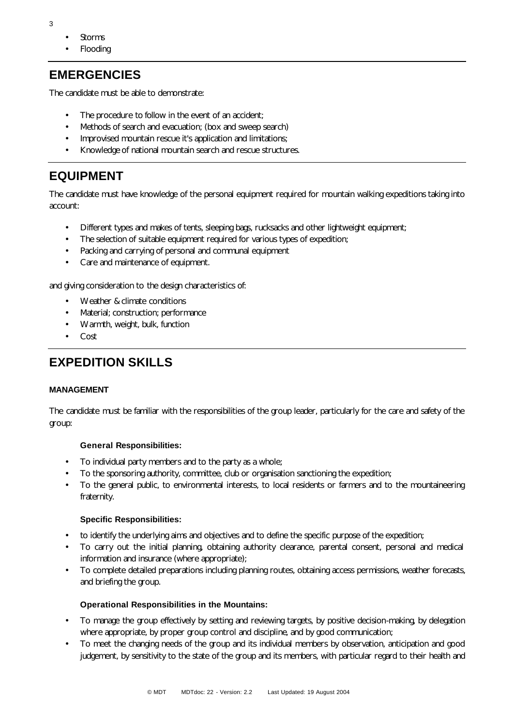- **Storms**
- Flooding

## **EMERGENCIES**

The candidate must be able to demonstrate:

- The procedure to follow in the event of an accident;
- Methods of search and evacuation; (box and sweep search)
- Improvised mountain rescue it's application and limitations;
- Knowledge of national mountain search and rescue structures.

## **EQUIPMENT**

The candidate must have knowledge of the personal equipment required for mountain walking expeditions taking into account:

- Different types and makes of tents, sleeping bags, rucksacks and other lightweight equipment;
- The selection of suitable equipment required for various types of expedition;
- Packing and carrying of personal and communal equipment
- Care and maintenance of equipment.

and giving consideration to the design characteristics of:

- Weather & climate conditions
- Material; construction; performance
- Warmth, weight, bulk, function
- Cost

## **EXPEDITION SKILLS**

#### **MANAGEMENT**

The candidate must be familiar with the responsibilities of the group leader, particularly for the care and safety of the group:

#### **General Responsibilities:**

- To individual party members and to the party as a whole;
- To the sponsoring authority, committee, club or organisation sanctioning the expedition;
- To the general public, to environmental interests, to local residents or farmers and to the mountaineering fraternity.

#### **Specific Responsibilities:**

- to identify the underlying aims and objectives and to define the specific purpose of the expedition;
- To carry out the initial planning, obtaining authority clearance, parental consent, personal and medical information and insurance (where appropriate);
- To complete detailed preparations including planning routes, obtaining access permissions, weather forecasts, and briefing the group.

#### **Operational Responsibilities in the Mountains:**

- To manage the group effectively by setting and reviewing targets, by positive decision-making, by delegation where appropriate, by proper group control and discipline, and by good communication;
- To meet the changing needs of the group and its individual members by observation, anticipation and good judgement, by sensitivity to the state of the group and its members, with particular regard to their health and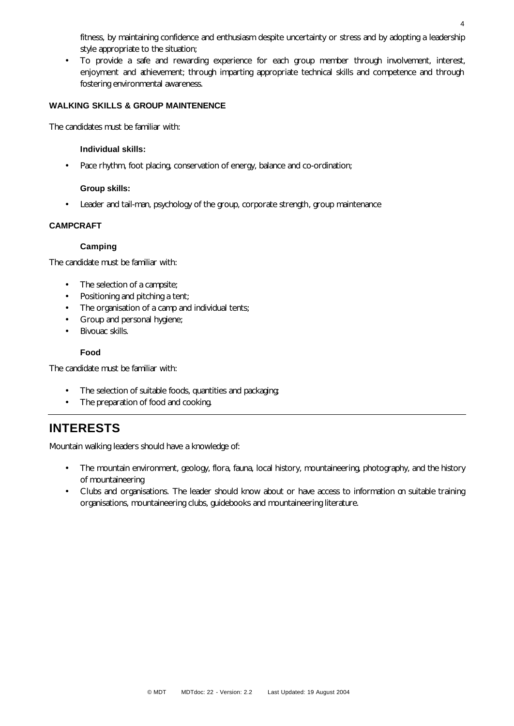fitness, by maintaining confidence and enthusiasm despite uncertainty or stress and by adopting a leadership style appropriate to the situation;

• To provide a safe and rewarding experience for each group member through involvement, interest, enjoyment and achievement; through imparting appropriate technical skills and competence and through fostering environmental awareness.

## **WALKING SKILLS & GROUP MAINTENENCE**

The candidates must be familiar with:

#### **Individual skills:**

• Pace rhythm, foot placing, conservation of energy, balance and co-ordination;

#### **Group skills:**

• Leader and tail-man, psychology of the group, corporate strength, group maintenance

## **CAMPCRAFT**

#### **Camping**

The candidate must be familiar with:

- The selection of a campsite;
- Positioning and pitching a tent;
- The organisation of a camp and individual tents;
- Group and personal hygiene;
- Bivouac skills.

#### **Food**

The candidate must be familiar with:

- The selection of suitable foods, quantities and packaging;
- The preparation of food and cooking.

## **INTERESTS**

Mountain walking leaders should have a knowledge of:

- The mountain environment, geology, flora, fauna, local history, mountaineering, photography, and the history of mountaineering
- Clubs and organisations. The leader should know about or have access to information on suitable training organisations, mountaineering clubs, guidebooks and mountaineering literature.